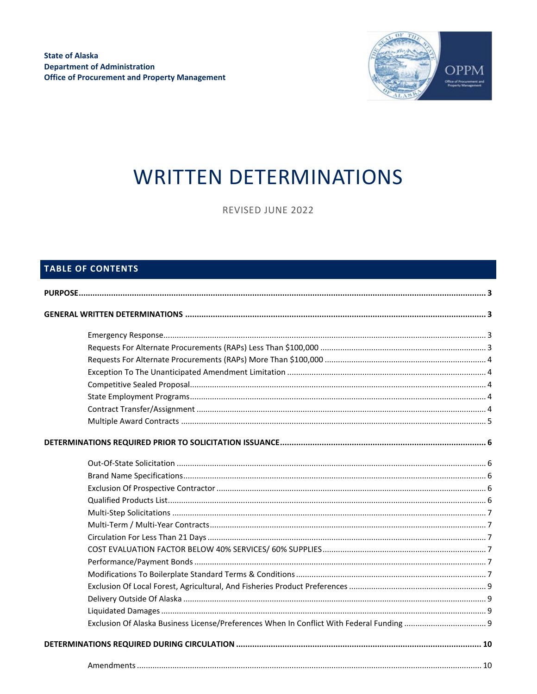

# **WRITTEN DETERMINATIONS**

REVISED JUNE 2022

# TABLE OF CONTENTS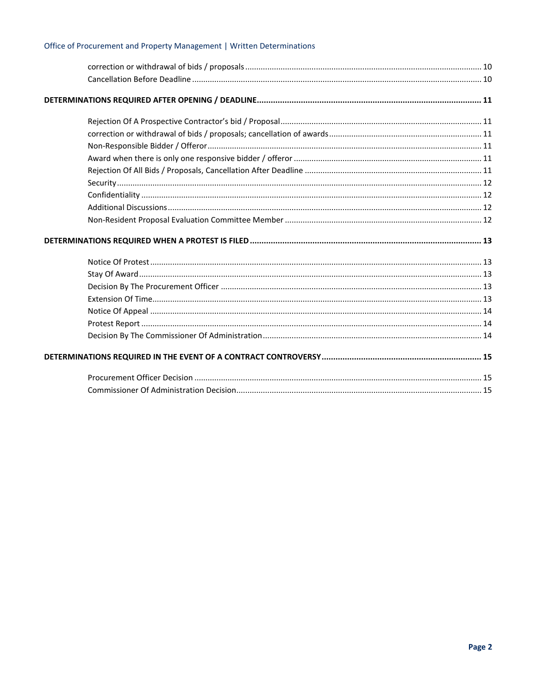# Office of Procurement and Property Management | Written Determinations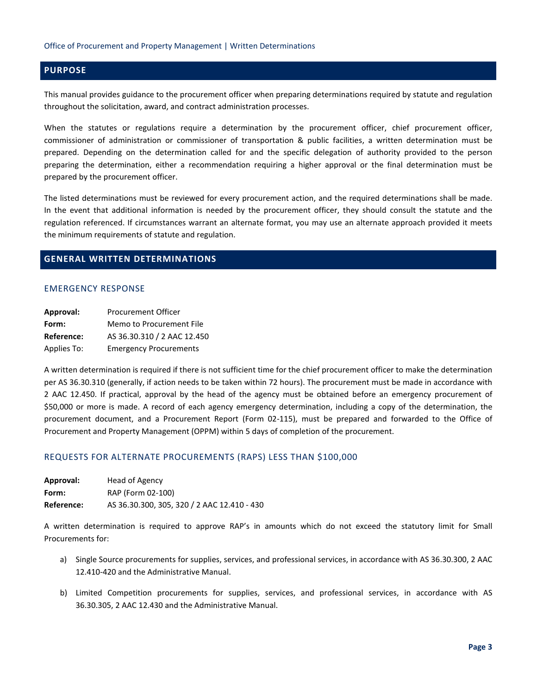# <span id="page-2-0"></span>**PURPOSE**

This manual provides guidance to the procurement officer when preparing determinations required by statute and regulation throughout the solicitation, award, and contract administration processes.

When the statutes or regulations require a determination by the procurement officer, chief procurement officer, commissioner of administration or commissioner of transportation & public facilities, a written determination must be prepared. Depending on the determination called for and the specific delegation of authority provided to the person preparing the determination, either a recommendation requiring a higher approval or the final determination must be prepared by the procurement officer.

The listed determinations must be reviewed for every procurement action, and the required determinations shall be made. In the event that additional information is needed by the procurement officer, they should consult the statute and the regulation referenced. If circumstances warrant an alternate format, you may use an alternate approach provided it meets the minimum requirements of statute and regulation.

# <span id="page-2-2"></span><span id="page-2-1"></span>**GENERAL WRITTEN DETERMINATIONS**

## EMERGENCY RESPONSE

| Approval:   | <b>Procurement Officer</b>    |
|-------------|-------------------------------|
| Form:       | Memo to Procurement File      |
| Reference:  | AS 36.30.310 / 2 AAC 12.450   |
| Applies To: | <b>Emergency Procurements</b> |

A written determination is required if there is not sufficient time for the chief procurement officer to make the determination per AS 36.30.310 (generally, if action needs to be taken within 72 hours). The procurement must be made in accordance with 2 AAC 12.450. If practical, approval by the head of the agency must be obtained before an emergency procurement of \$50,000 or more is made. A record of each agency emergency determination, including a copy of the determination, the procurement document, and a Procurement Report (Form 02-115), must be prepared and forwarded to the Office of Procurement and Property Management (OPPM) within 5 days of completion of the procurement.

## <span id="page-2-3"></span>REQUESTS FOR ALTERNATE PROCUREMENTS (RAPS) LESS THAN \$100,000

| Approval:  | Head of Agency                              |
|------------|---------------------------------------------|
| Form:      | RAP (Form 02-100)                           |
| Reference: | AS 36.30.300, 305, 320 / 2 AAC 12.410 - 430 |

A written determination is required to approve RAP's in amounts which do not exceed the statutory limit for Small Procurements for:

- a) Single Source procurements for supplies, services, and professional services, in accordance with AS 36.30.300, 2 AAC 12.410-420 and the Administrative Manual.
- b) Limited Competition procurements for supplies, services, and professional services, in accordance with AS 36.30.305, 2 AAC 12.430 and the Administrative Manual.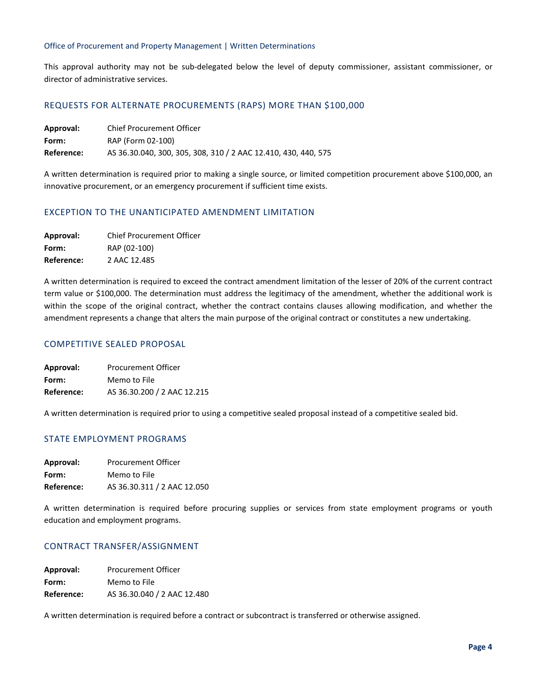## Office of Procurement and Property Management | Written Determinations

This approval authority may not be sub-delegated below the level of deputy commissioner, assistant commissioner, or director of administrative services.

## <span id="page-3-0"></span>REQUESTS FOR ALTERNATE PROCUREMENTS (RAPS) MORE THAN \$100,000

| Approval:  | Chief Procurement Officer                                      |
|------------|----------------------------------------------------------------|
| Form:      | RAP (Form 02-100)                                              |
| Reference: | AS 36.30.040, 300, 305, 308, 310 / 2 AAC 12.410, 430, 440, 575 |

A written determination is required prior to making a single source, or limited competition procurement above \$100,000, an innovative procurement, or an emergency procurement if sufficient time exists.

## <span id="page-3-1"></span>EXCEPTION TO THE UNANTICIPATED AMENDMENT LIMITATION

| Approval:  | <b>Chief Procurement Officer</b> |
|------------|----------------------------------|
| Form:      | RAP (02-100)                     |
| Reference: | 2 AAC 12.485                     |

A written determination is required to exceed the contract amendment limitation of the lesser of 20% of the current contract term value or \$100,000. The determination must address the legitimacy of the amendment, whether the additional work is within the scope of the original contract, whether the contract contains clauses allowing modification, and whether the amendment represents a change that alters the main purpose of the original contract or constitutes a new undertaking.

## <span id="page-3-2"></span>COMPETITIVE SEALED PROPOSAL

| Approval:  | Procurement Officer         |
|------------|-----------------------------|
| Form:      | Memo to File                |
| Reference: | AS 36.30.200 / 2 AAC 12.215 |

A written determination is required prior to using a competitive sealed proposal instead of a competitive sealed bid.

# <span id="page-3-3"></span>STATE EMPLOYMENT PROGRAMS

| Approval:  | <b>Procurement Officer</b>  |
|------------|-----------------------------|
| Form:      | Memo to File                |
| Reference: | AS 36.30.311 / 2 AAC 12.050 |

A written determination is required before procuring supplies or services from state employment programs or youth education and employment programs.

## <span id="page-3-4"></span>CONTRACT TRANSFER/ASSIGNMENT

| Approval:  | <b>Procurement Officer</b>  |
|------------|-----------------------------|
| Form:      | Memo to File                |
| Reference: | AS 36.30.040 / 2 AAC 12.480 |

A written determination is required before a contract or subcontract is transferred or otherwise assigned.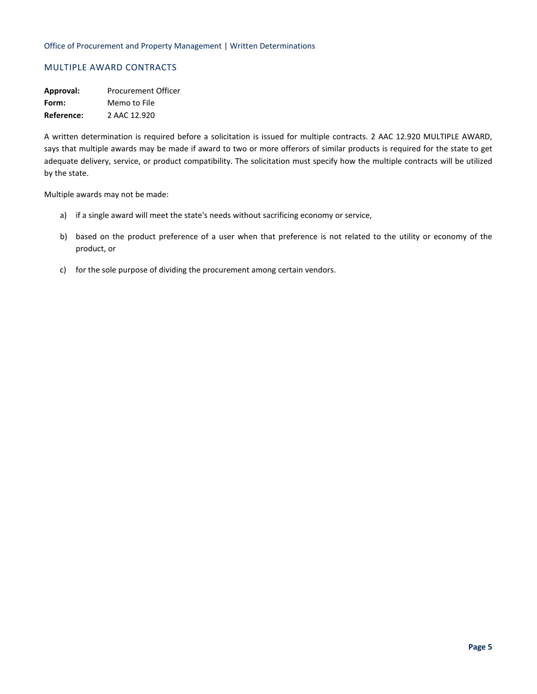# <span id="page-4-0"></span>MULTIPLE AWARD CONTRACTS

**Approval:** Procurement Officer **Form:** Memo to File **Reference:** 2 AAC 12.920

A written determination is required before a solicitation is issued for multiple contracts. 2 AAC 12.920 MULTIPLE AWARD, says that multiple awards may be made if award to two or more offerors of similar products is required for the state to get adequate delivery, service, or product compatibility. The solicitation must specify how the multiple contracts will be utilized by the state.

Multiple awards may not be made:

- a) if a single award will meet the state's needs without sacrificing economy or service,
- b) based on the product preference of a user when that preference is not related to the utility or economy of the product, or
- c) for the sole purpose of dividing the procurement among certain vendors.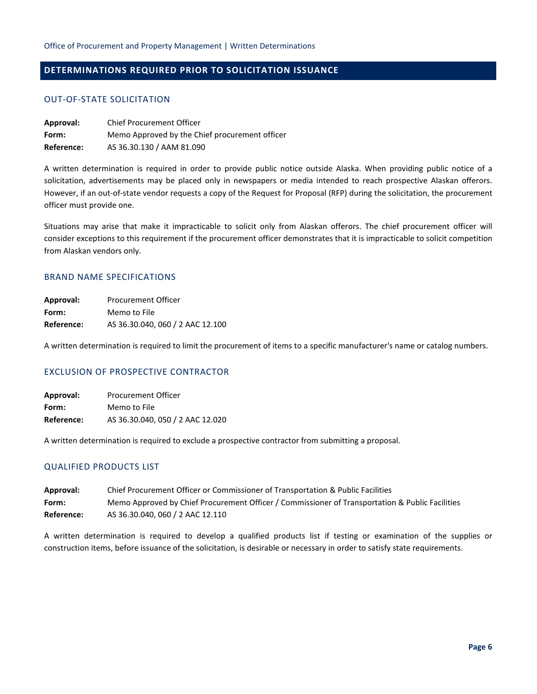# <span id="page-5-1"></span><span id="page-5-0"></span>**DETERMINATIONS REQUIRED PRIOR TO SOLICITATION ISSUANCE**

## OUT-OF-STATE SOLICITATION

| Approval:  | <b>Chief Procurement Officer</b>               |
|------------|------------------------------------------------|
| Form:      | Memo Approved by the Chief procurement officer |
| Reference: | AS 36.30.130 / AAM 81.090                      |

A written determination is required in order to provide public notice outside Alaska. When providing public notice of a solicitation, advertisements may be placed only in newspapers or media intended to reach prospective Alaskan offerors. However, if an out-of-state vendor requests a copy of the Request for Proposal (RFP) during the solicitation, the procurement officer must provide one.

Situations may arise that make it impracticable to solicit only from Alaskan offerors. The chief procurement officer will consider exceptions to this requirement if the procurement officer demonstrates that it is impracticable to solicit competition from Alaskan vendors only.

## <span id="page-5-2"></span>BRAND NAME SPECIFICATIONS

| Approval:  | Procurement Officer              |
|------------|----------------------------------|
| Form:      | Memo to File                     |
| Reference: | AS 36.30.040, 060 / 2 AAC 12.100 |

A written determination is required to limit the procurement of items to a specific manufacturer's name or catalog numbers.

## <span id="page-5-3"></span>EXCLUSION OF PROSPECTIVE CONTRACTOR

| Approval:  | <b>Procurement Officer</b>       |
|------------|----------------------------------|
| Form:      | Memo to File                     |
| Reference: | AS 36.30.040, 050 / 2 AAC 12.020 |

A written determination is required to exclude a prospective contractor from submitting a proposal.

## <span id="page-5-4"></span>QUALIFIED PRODUCTS LIST

| Approval:         | Chief Procurement Officer or Commissioner of Transportation & Public Facilities                 |
|-------------------|-------------------------------------------------------------------------------------------------|
| Form:             | Memo Approved by Chief Procurement Officer / Commissioner of Transportation & Public Facilities |
| <b>Reference:</b> | AS 36.30.040, 060 / 2 AAC 12.110                                                                |

A written determination is required to develop a qualified products list if testing or examination of the supplies or construction items, before issuance of the solicitation, is desirable or necessary in order to satisfy state requirements.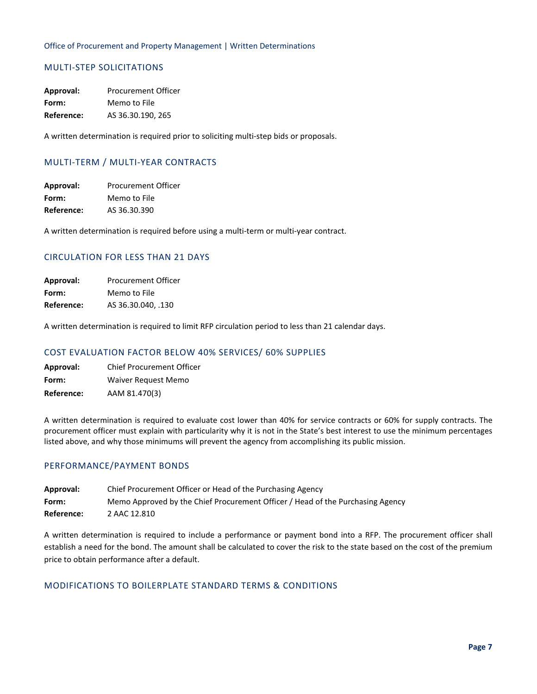# <span id="page-6-0"></span>MULTI-STEP SOLICITATIONS

**Approval:** Procurement Officer **Form:** Memo to File **Reference:** AS 36.30.190, 265

A written determination is required prior to soliciting multi-step bids or proposals.

# <span id="page-6-1"></span>MULTI-TERM / MULTI-YEAR CONTRACTS

**Approval:** Procurement Officer **Form:** Memo to File **Reference:** AS 36.30.390

A written determination is required before using a multi-term or multi-year contract.

# <span id="page-6-2"></span>CIRCULATION FOR LESS THAN 21 DAYS

**Approval:** Procurement Officer **Form:** Memo to File **Reference:** AS 36.30.040, .130

A written determination is required to limit RFP circulation period to less than 21 calendar days.

## <span id="page-6-3"></span>COST EVALUATION FACTOR BELOW 40% SERVICES/ 60% SUPPLIES

**Approval:** Chief Procurement Officer **Form:** Waiver Request Memo **Reference:** AAM 81.470(3)

A written determination is required to evaluate cost lower than 40% for service contracts or 60% for supply contracts. The procurement officer must explain with particularity why it is not in the State's best interest to use the minimum percentages listed above, and why those minimums will prevent the agency from accomplishing its public mission.

## <span id="page-6-4"></span>PERFORMANCE/PAYMENT BONDS

| Approval:         | Chief Procurement Officer or Head of the Purchasing Agency                     |
|-------------------|--------------------------------------------------------------------------------|
| Form:             | Memo Approved by the Chief Procurement Officer / Head of the Purchasing Agency |
| <b>Reference:</b> | 2 AAC 12.810                                                                   |

A written determination is required to include a performance or payment bond into a RFP. The procurement officer shall establish a need for the bond. The amount shall be calculated to cover the risk to the state based on the cost of the premium price to obtain performance after a default.

## <span id="page-6-5"></span>MODIFICATIONS TO BOILERPLATE STANDARD TERMS & CONDITIONS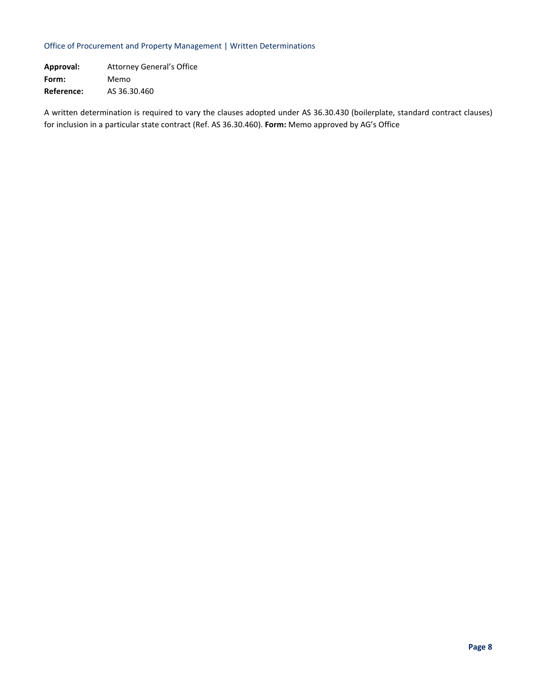## Office of Procurement and Property Management | Written Determinations

**Approval:** Attorney General's Office **Form:** Memo **Reference:** AS 36.30.460

A written determination is required to vary the clauses adopted under AS 36.30.430 (boilerplate, standard contract clauses) for inclusion in a particular state contract (Ref. AS 36.30.460). **Form:** Memo approved by AG's Office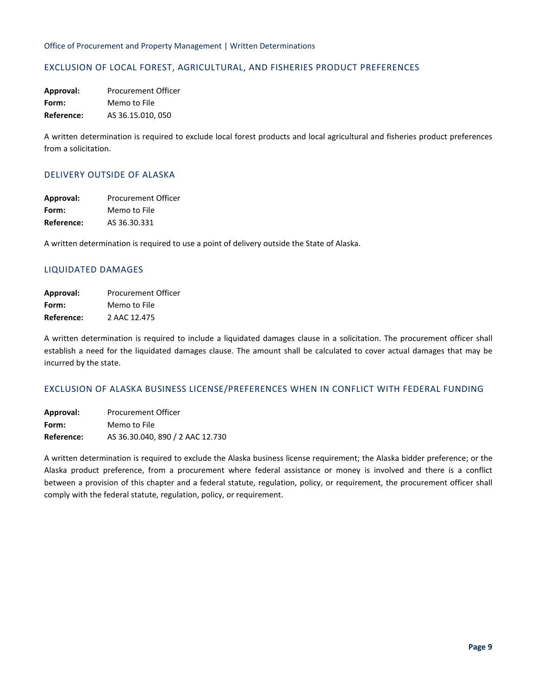# <span id="page-8-0"></span>EXCLUSION OF LOCAL FOREST, AGRICULTURAL, AND FISHERIES PRODUCT PREFERENCES

**Approval:** Procurement Officer **Form:** Memo to File **Reference:** AS 36.15.010, 050

A written determination is required to exclude local forest products and local agricultural and fisheries product preferences from a solicitation.

## <span id="page-8-1"></span>DELIVERY OUTSIDE OF ALASKA

| Approval:  | <b>Procurement Officer</b> |
|------------|----------------------------|
| Form:      | Memo to File               |
| Reference: | AS 36.30.331               |

A written determination is required to use a point of delivery outside the State of Alaska.

## <span id="page-8-2"></span>LIQUIDATED DAMAGES

| Approval:  | <b>Procurement Officer</b> |
|------------|----------------------------|
| Form:      | Memo to File               |
| Reference: | 2 AAC 12.475               |

A written determination is required to include a liquidated damages clause in a solicitation. The procurement officer shall establish a need for the liquidated damages clause. The amount shall be calculated to cover actual damages that may be incurred by the state.

## <span id="page-8-3"></span>EXCLUSION OF ALASKA BUSINESS LICENSE/PREFERENCES WHEN IN CONFLICT WITH FEDERAL FUNDING

**Approval:** Procurement Officer **Form:** Memo to File **Reference:** AS 36.30.040, 890 / 2 AAC 12.730

A written determination is required to exclude the Alaska business license requirement; the Alaska bidder preference; or the Alaska product preference, from a procurement where federal assistance or money is involved and there is a conflict between a provision of this chapter and a federal statute, regulation, policy, or requirement, the procurement officer shall comply with the federal statute, regulation, policy, or requirement.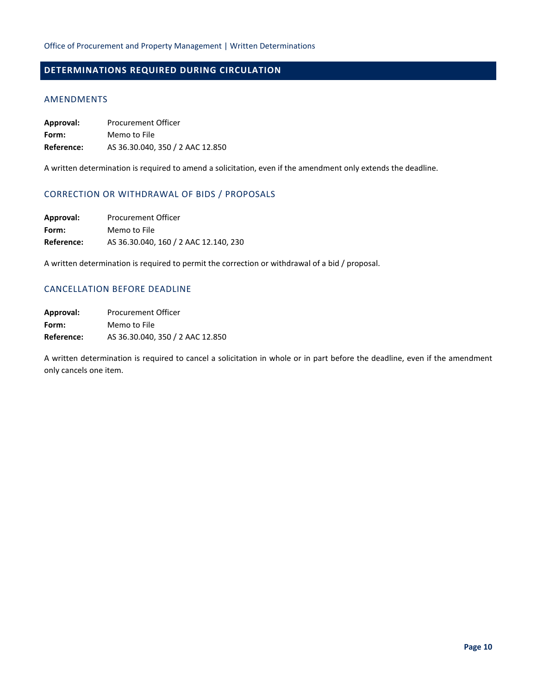# <span id="page-9-1"></span><span id="page-9-0"></span>**DETERMINATIONS REQUIRED DURING CIRCULATION**

## AMENDMENTS

| Approval:  | <b>Procurement Officer</b>       |
|------------|----------------------------------|
| Form:      | Memo to File                     |
| Reference: | AS 36.30.040, 350 / 2 AAC 12.850 |

A written determination is required to amend a solicitation, even if the amendment only extends the deadline.

# <span id="page-9-2"></span>CORRECTION OR WITHDRAWAL OF BIDS / PROPOSALS

| Approval:  | <b>Procurement Officer</b>            |
|------------|---------------------------------------|
| Form:      | Memo to File                          |
| Reference: | AS 36.30.040, 160 / 2 AAC 12.140, 230 |

A written determination is required to permit the correction or withdrawal of a bid / proposal.

# <span id="page-9-3"></span>CANCELLATION BEFORE DEADLINE

| Approval:  | <b>Procurement Officer</b>       |
|------------|----------------------------------|
| Form:      | Memo to File                     |
| Reference: | AS 36.30.040, 350 / 2 AAC 12.850 |

A written determination is required to cancel a solicitation in whole or in part before the deadline, even if the amendment only cancels one item.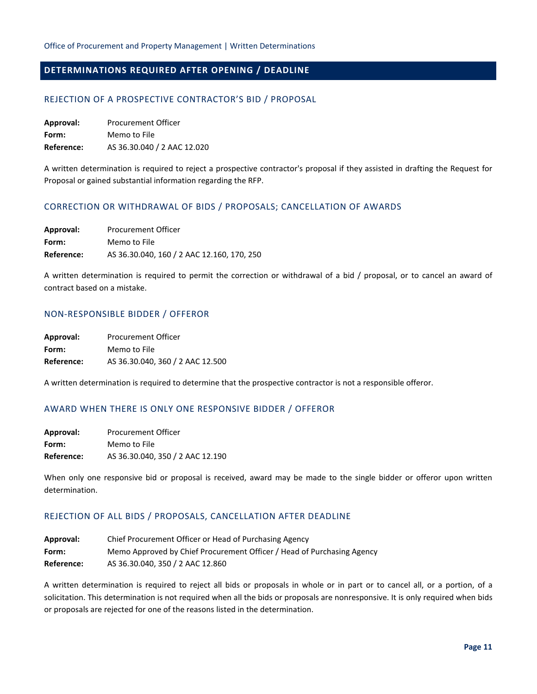# <span id="page-10-1"></span><span id="page-10-0"></span>**DETERMINATIONS REQUIRED AFTER OPENING / DEADLINE**

## REJECTION OF A PROSPECTIVE CONTRACTOR'S BID / PROPOSAL

**Approval:** Procurement Officer **Form:** Memo to File **Reference:** AS 36.30.040 / 2 AAC 12.020

A written determination is required to reject a prospective contractor's proposal if they assisted in drafting the Request for Proposal or gained substantial information regarding the RFP.

## <span id="page-10-2"></span>CORRECTION OR WITHDRAWAL OF BIDS / PROPOSALS; CANCELLATION OF AWARDS

| Approval:  | <b>Procurement Officer</b>                 |  |
|------------|--------------------------------------------|--|
| Form:      | Memo to File                               |  |
| Reference: | AS 36.30.040, 160 / 2 AAC 12.160, 170, 250 |  |

A written determination is required to permit the correction or withdrawal of a bid / proposal, or to cancel an award of contract based on a mistake.

## <span id="page-10-3"></span>NON-RESPONSIBLE BIDDER / OFFEROR

| Approval:  | <b>Procurement Officer</b>       |
|------------|----------------------------------|
| Form:      | Memo to File                     |
| Reference: | AS 36.30.040, 360 / 2 AAC 12.500 |

A written determination is required to determine that the prospective contractor is not a responsible offeror.

## <span id="page-10-4"></span>AWARD WHEN THERE IS ONLY ONE RESPONSIVE BIDDER / OFFEROR

| Approval:  | Procurement Officer              |
|------------|----------------------------------|
| Form:      | Memo to File                     |
| Reference: | AS 36.30.040, 350 / 2 AAC 12.190 |

When only one responsive bid or proposal is received, award may be made to the single bidder or offeror upon written determination.

## <span id="page-10-5"></span>REJECTION OF ALL BIDS / PROPOSALS, CANCELLATION AFTER DEADLINE

| Approval:  | Chief Procurement Officer or Head of Purchasing Agency                 |
|------------|------------------------------------------------------------------------|
| Form:      | Memo Approved by Chief Procurement Officer / Head of Purchasing Agency |
| Reference: | AS 36.30.040, 350 / 2 AAC 12.860                                       |

A written determination is required to reject all bids or proposals in whole or in part or to cancel all, or a portion, of a solicitation. This determination is not required when all the bids or proposals are nonresponsive. It is only required when bids or proposals are rejected for one of the reasons listed in the determination.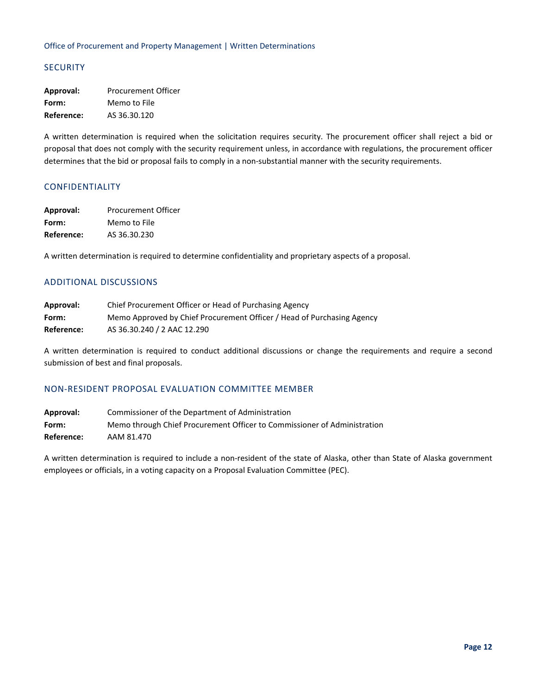# <span id="page-11-0"></span>**SECURITY**

**Approval:** Procurement Officer **Form:** Memo to File **Reference:** AS 36.30.120

A written determination is required when the solicitation requires security. The procurement officer shall reject a bid or proposal that does not comply with the security requirement unless, in accordance with regulations, the procurement officer determines that the bid or proposal fails to comply in a non-substantial manner with the security requirements.

# <span id="page-11-1"></span>CONFIDENTIALITY

| Approval:  | <b>Procurement Officer</b> |
|------------|----------------------------|
| Form:      | Memo to File               |
| Reference: | AS 36.30.230               |

A written determination is required to determine confidentiality and proprietary aspects of a proposal.

## <span id="page-11-2"></span>ADDITIONAL DISCUSSIONS

| Approval:  | Chief Procurement Officer or Head of Purchasing Agency                 |
|------------|------------------------------------------------------------------------|
| Form:      | Memo Approved by Chief Procurement Officer / Head of Purchasing Agency |
| Reference: | AS 36.30.240 / 2 AAC 12.290                                            |

A written determination is required to conduct additional discussions or change the requirements and require a second submission of best and final proposals.

## <span id="page-11-3"></span>NON-RESIDENT PROPOSAL EVALUATION COMMITTEE MEMBER

**Approval:** Commissioner of the Department of Administration **Form:** Memo through Chief Procurement Officer to Commissioner of Administration **Reference:** AAM 81.470

A written determination is required to include a non-resident of the state of Alaska, other than State of Alaska government employees or officials, in a voting capacity on a Proposal Evaluation Committee (PEC).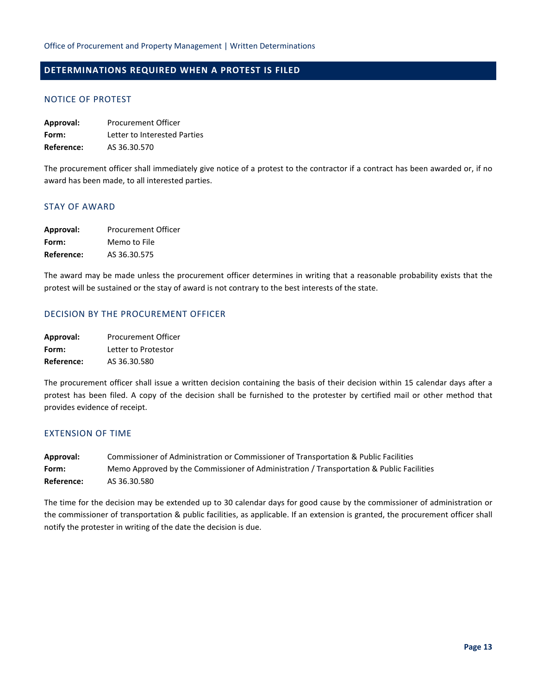# <span id="page-12-1"></span><span id="page-12-0"></span>**DETERMINATIONS REQUIRED WHEN A PROTEST IS FILED**

## NOTICE OF PROTEST

| Approval:  | <b>Procurement Officer</b>   |
|------------|------------------------------|
| Form:      | Letter to Interested Parties |
| Reference: | AS 36.30.570                 |

The procurement officer shall immediately give notice of a protest to the contractor if a contract has been awarded or, if no award has been made, to all interested parties.

## <span id="page-12-2"></span>STAY OF AWARD

| Approval:  | Procurement Officer |
|------------|---------------------|
| Form:      | Memo to File        |
| Reference: | AS 36.30.575        |

The award may be made unless the procurement officer determines in writing that a reasonable probability exists that the protest will be sustained or the stay of award is not contrary to the best interests of the state.

# <span id="page-12-3"></span>DECISION BY THE PROCUREMENT OFFICER

| Approval:  | <b>Procurement Officer</b> |
|------------|----------------------------|
| Form:      | Letter to Protestor        |
| Reference: | AS 36.30.580               |

The procurement officer shall issue a written decision containing the basis of their decision within 15 calendar days after a protest has been filed. A copy of the decision shall be furnished to the protester by certified mail or other method that provides evidence of receipt.

## <span id="page-12-4"></span>EXTENSION OF TIME

**Approval:** Commissioner of Administration or Commissioner of Transportation & Public Facilities **Form:** Memo Approved by the Commissioner of Administration / Transportation & Public Facilities **Reference:** AS 36.30.580

The time for the decision may be extended up to 30 calendar days for good cause by the commissioner of administration or the commissioner of transportation & public facilities, as applicable. If an extension is granted, the procurement officer shall notify the protester in writing of the date the decision is due.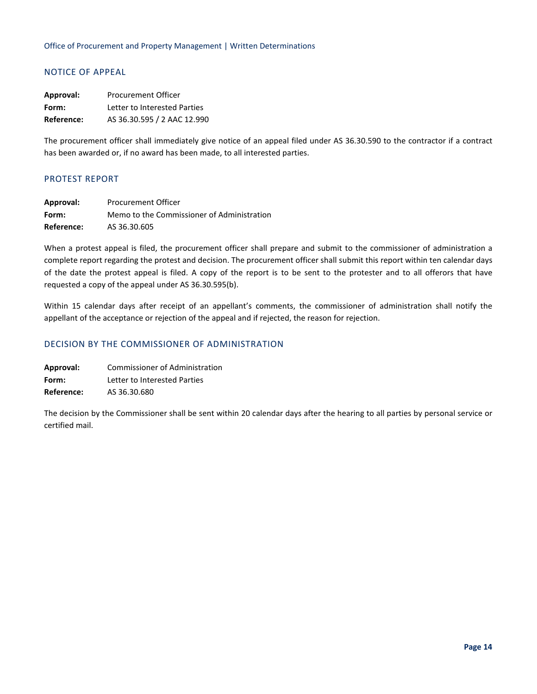# <span id="page-13-0"></span>NOTICE OF APPEAL

| Approval:  | Procurement Officer          |
|------------|------------------------------|
| Form:      | Letter to Interested Parties |
| Reference: | AS 36.30.595 / 2 AAC 12.990  |

The procurement officer shall immediately give notice of an appeal filed under AS 36.30.590 to the contractor if a contract has been awarded or, if no award has been made, to all interested parties.

# <span id="page-13-1"></span>PROTEST REPORT

| Approval:  | <b>Procurement Officer</b>                 |
|------------|--------------------------------------------|
| Form:      | Memo to the Commissioner of Administration |
| Reference: | AS 36.30.605                               |

When a protest appeal is filed, the procurement officer shall prepare and submit to the commissioner of administration a complete report regarding the protest and decision. The procurement officer shall submit this report within ten calendar days of the date the protest appeal is filed. A copy of the report is to be sent to the protester and to all offerors that have requested a copy of the appeal under AS 36.30.595(b).

Within 15 calendar days after receipt of an appellant's comments, the commissioner of administration shall notify the appellant of the acceptance or rejection of the appeal and if rejected, the reason for rejection.

## <span id="page-13-2"></span>DECISION BY THE COMMISSIONER OF ADMINISTRATION

**Approval:** Commissioner of Administration **Form:** Letter to Interested Parties **Reference:** AS 36.30.680

The decision by the Commissioner shall be sent within 20 calendar days after the hearing to all parties by personal service or certified mail.